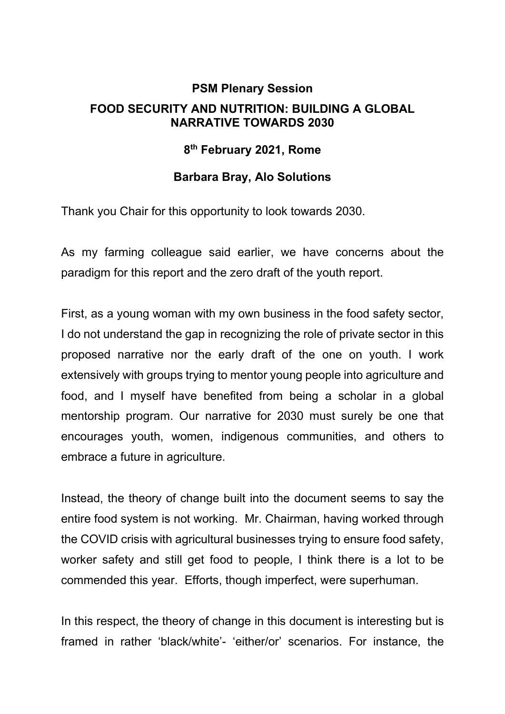## **PSM Plenary Session FOOD SECURITY AND NUTRITION: BUILDING A GLOBAL NARRATIVE TOWARDS 2030**

## **8th February 2021, Rome**

## **Barbara Bray, Alo Solutions**

Thank you Chair for this opportunity to look towards 2030.

As my farming colleague said earlier, we have concerns about the paradigm for this report and the zero draft of the youth report.

First, as a young woman with my own business in the food safety sector, I do not understand the gap in recognizing the role of private sector in this proposed narrative nor the early draft of the one on youth. I work extensively with groups trying to mentor young people into agriculture and food, and I myself have benefited from being a scholar in a global mentorship program. Our narrative for 2030 must surely be one that encourages youth, women, indigenous communities, and others to embrace a future in agriculture.

Instead, the theory of change built into the document seems to say the entire food system is not working. Mr. Chairman, having worked through the COVID crisis with agricultural businesses trying to ensure food safety, worker safety and still get food to people, I think there is a lot to be commended this year. Efforts, though imperfect, were superhuman.

In this respect, the theory of change in this document is interesting but is framed in rather 'black/white'- 'either/or' scenarios. For instance, the